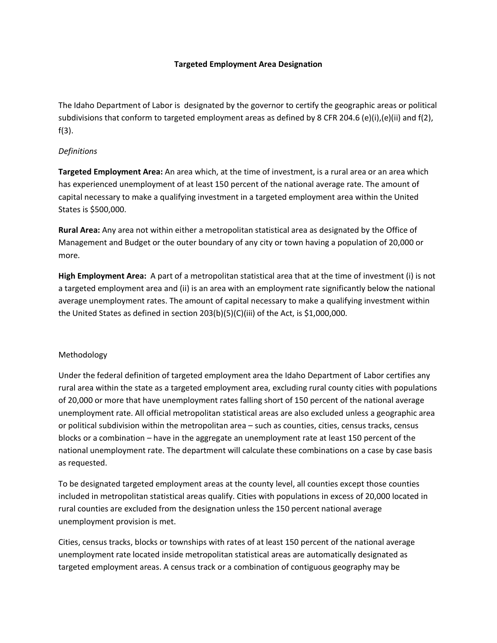# **Targeted Employment Area Designation**

The Idaho Department of Labor is designated by the governor to certify the geographic areas or political subdivisions that conform to targeted employment areas as defined by 8 CFR 204.6 (e)(i),(e)(ii) and f(2), f(3).

# *Definitions*

**Targeted Employment Area:** An area which, at the time of investment, is a rural area or an area which has experienced unemployment of at least 150 percent of the national average rate. The amount of capital necessary to make a qualifying investment in a targeted employment area within the United States is \$500,000.

**Rural Area:** Any area not within either a metropolitan statistical area as designated by the Office of Management and Budget or the outer boundary of any city or town having a population of 20,000 or more.

**High Employment Area:** A part of a metropolitan statistical area that at the time of investment (i) is not a targeted employment area and (ii) is an area with an employment rate significantly below the national average unemployment rates. The amount of capital necessary to make a qualifying investment within the United States as defined in section 203(b)(5)(C)(iii) of the Act, is \$1,000,000.

# Methodology

Under the federal definition of targeted employment area the Idaho Department of Labor certifies any rural area within the state as a targeted employment area, excluding rural county cities with populations of 20,000 or more that have unemployment rates falling short of 150 percent of the national average unemployment rate. All official metropolitan statistical areas are also excluded unless a geographic area or political subdivision within the metropolitan area – such as counties, cities, census tracks, census blocks or a combination – have in the aggregate an unemployment rate at least 150 percent of the national unemployment rate. The department will calculate these combinations on a case by case basis as requested.

To be designated targeted employment areas at the county level, all counties except those counties included in metropolitan statistical areas qualify. Cities with populations in excess of 20,000 located in rural counties are excluded from the designation unless the 150 percent national average unemployment provision is met.

Cities, census tracks, blocks or townships with rates of at least 150 percent of the national average unemployment rate located inside metropolitan statistical areas are automatically designated as targeted employment areas. A census track or a combination of contiguous geography may be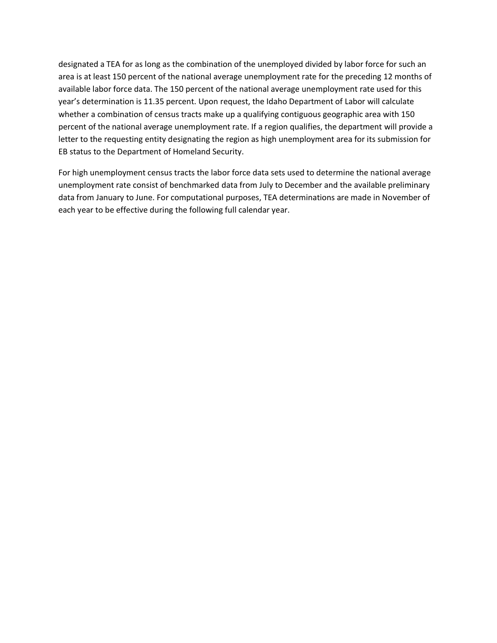designated a TEA for as long as the combination of the unemployed divided by labor force for such an area is at least 150 percent of the national average unemployment rate for the preceding 12 months of available labor force data. The 150 percent of the national average unemployment rate used for this year's determination is 11.35 percent. Upon request, the Idaho Department of Labor will calculate whether a combination of census tracts make up a qualifying contiguous geographic area with 150 percent of the national average unemployment rate. If a region qualifies, the department will provide a letter to the requesting entity designating the region as high unemployment area for its submission for EB status to the Department of Homeland Security.

For high unemployment census tracts the labor force data sets used to determine the national average unemployment rate consist of benchmarked data from July to December and the available preliminary data from January to June. For computational purposes, TEA determinations are made in November of each year to be effective during the following full calendar year.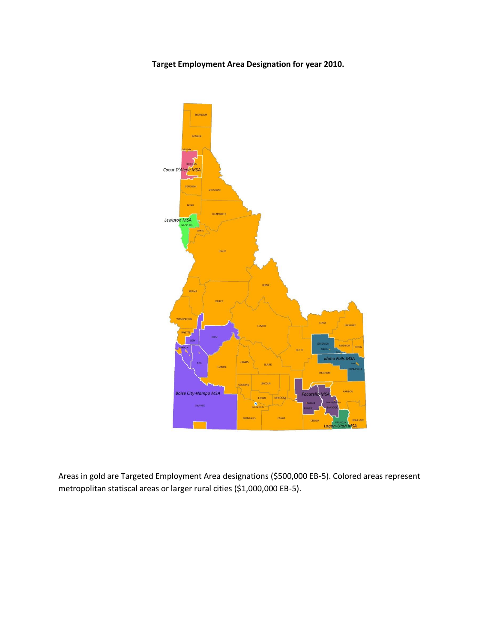**Target Employment Area Designation for year 2010.**



Areas in gold are Targeted Employment Area designations (\$500,000 EB-5). Colored areas represent metropolitan statiscal areas or larger rural cities (\$1,000,000 EB-5).